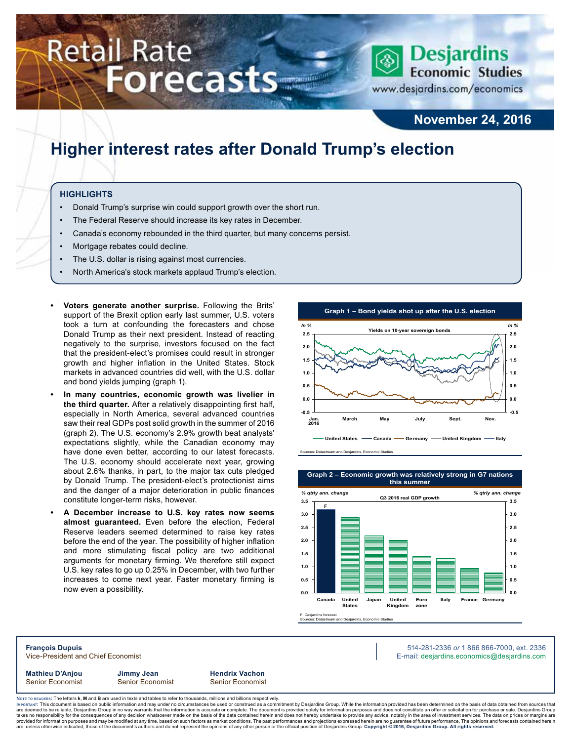# **Retail Rate Forecasts**



**November 24, 2016**

# **Higher interest rates after Donald Trump's election**

#### **HIGHLIGHTS**

- Donald Trump's surprise win could support growth over the short run.
- The Federal Reserve should increase its key rates in December.
- Canada's economy rebounded in the third quarter, but many concerns persist.
- Mortgage rebates could decline.
- The U.S. dollar is rising against most currencies.
- North America's stock markets applaud Trump's election.
- **• Voters generate another surprise.** Following the Brits' support of the Brexit option early last summer, U.S. voters took a turn at confounding the forecasters and chose Donald Trump as their next president. Instead of reacting negatively to the surprise, investors focused on the fact that the president-elect's promises could result in stronger growth and higher inflation in the United States. Stock markets in advanced countries did well, with the U.S. dollar and bond yields jumping (graph 1).
- **• In many countries, economic growth was livelier in the third quarter.** After a relatively disappointing first half, especially in North America, several advanced countries saw their real GDPs post solid growth in the summer of 2016 (graph 2). The U.S. economy's 2.9% growth beat analysts' expectations slightly, while the Canadian economy may have done even better, according to our latest forecasts. The U.S. economy should accelerate next year, growing about 2.6% thanks, in part, to the major tax cuts pledged by Donald Trump. The president-elect's protectionist aims and the danger of a major deterioration in public finances constitute longer-term risks, however.
- **• A December increase to U.S. key rates now seems almost guaranteed.** Even before the election, Federal Reserve leaders seemed determined to raise key rates before the end of the year. The possibility of higher inflation and more stimulating fiscal policy are two additional arguments for monetary firming. We therefore still expect U.S. key rates to go up 0.25% in December, with two further increases to come next year. Faster monetary firming is now even a possibility.



Sources: Datastream and Desjardins, Economic Studies



F: Desjardins forecast Sources: Datastream and Desjardins, Economic Studies

**François Dupuis** 514-281-2336 *or* 1 866 866-7000, ext. 2336 Vice-President and Chief Economist **E-mail: designediate and Chief Economist** E-mail: designediate economics@desjardins.com

**Mathieu D'Anjou Jimmy Jean Hendrix Vachon**

Senior Economist Senior Economist Senior Economist

Noте то келоекs: The letters **k, M** and **B** are used in texts and tables to refer to thousands, millions and billions respectively.<br>Імроктлит: This document is based on public information and may under no circumstances be are deemed to be reliable, Desjardins Group in no way warrants that the information is accurate or complete. The document is provided solely for information purposes and does not constitute an offer or solicitation for pur takes no responsibility for the consequences of any decision whatsoever made on the basis of the data contained herein and does not hereby undertake to provide any advice, notably in the area of investment services. The da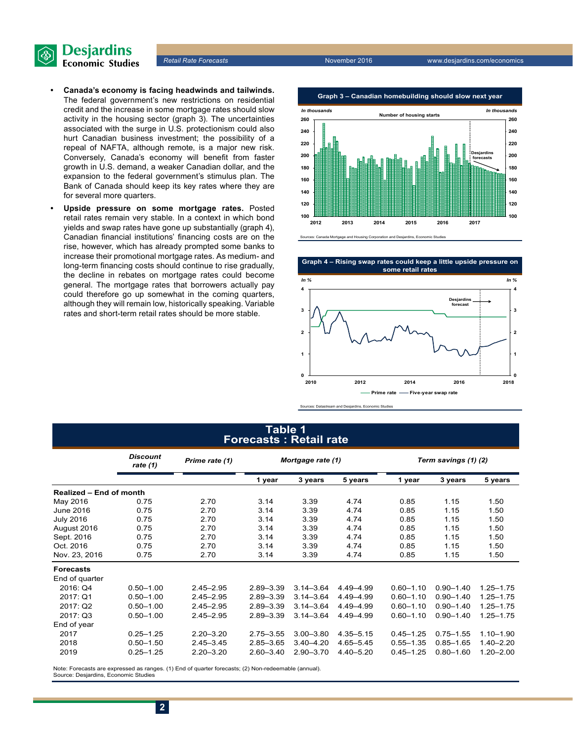

*Retail Rate Forecasts* November 2016 www.desjardins.com/economics

- **• Canada's economy is facing headwinds and tailwinds.** The federal government's new restrictions on residential credit and the increase in some mortgage rates should slow activity in the housing sector (graph 3). The uncertainties associated with the surge in U.S. protectionism could also hurt Canadian business investment; the possibility of a repeal of NAFTA, although remote, is a major new risk. Conversely, Canada's economy will benefit from faster growth in U.S. demand, a weaker Canadian dollar, and the expansion to the federal government's stimulus plan. The Bank of Canada should keep its key rates where they are for several more quarters.
- **• Upside pressure on some mortgage rates.** Posted retail rates remain very stable. In a context in which bond yields and swap rates have gone up substantially (graph 4), Canadian financial institutions' financing costs are on the rise, however, which has already prompted some banks to increase their promotional mortgage rates. As medium- and long-term financing costs should continue to rise gradually, the decline in rebates on mortgage rates could become general. The mortgage rates that borrowers actually pay could therefore go up somewhat in the coming quarters, although they will remain low, historically speaking. Variable rates and short-term retail rates should be more stable.









Sources: Datastream and Desjardins, Economic Studies

#### **Table 1 Forecasts : Retail rate**

|                         | <b>Discount</b><br>rate (1) | Prime rate (1) | Mortgage rate (1) |               |               | Term savings (1) (2) |               |               |  |
|-------------------------|-----------------------------|----------------|-------------------|---------------|---------------|----------------------|---------------|---------------|--|
|                         |                             |                | 1 year            | 3 years       | 5 years       | 1 year               | 3 years       | 5 years       |  |
| Realized - End of month |                             |                |                   |               |               |                      |               |               |  |
| May 2016                | 0.75                        | 2.70           | 3.14              | 3.39          | 4.74          | 0.85                 | 1.15          | 1.50          |  |
| June 2016               | 0.75                        | 2.70           | 3.14              | 3.39          | 4.74          | 0.85                 | 1.15          | 1.50          |  |
| <b>July 2016</b>        | 0.75                        | 2.70           | 3.14              | 3.39          | 4.74          | 0.85                 | 1.15          | 1.50          |  |
| August 2016             | 0.75                        | 2.70           | 3.14              | 3.39          | 4.74          | 0.85                 | 1.15          | 1.50          |  |
| Sept. 2016              | 0.75                        | 2.70           | 3.14              | 3.39          | 4.74          | 0.85                 | 1.15          | 1.50          |  |
| Oct. 2016               | 0.75                        | 2.70           | 3.14              | 3.39          | 4.74          | 0.85                 | 1.15          | 1.50          |  |
| Nov. 23, 2016           | 0.75                        | 2.70           | 3.14              | 3.39          | 4.74          | 0.85                 | 1.15          | 1.50          |  |
| <b>Forecasts</b>        |                             |                |                   |               |               |                      |               |               |  |
| End of quarter          |                             |                |                   |               |               |                      |               |               |  |
| 2016: Q4                | $0.50 - 1.00$               | $2.45 - 2.95$  | $2.89 - 3.39$     | $3.14 - 3.64$ | 4.49-4.99     | $0.60 - 1.10$        | $0.90 - 1.40$ | $1.25 - 1.75$ |  |
| 2017: Q1                | $0.50 - 1.00$               | $2.45 - 2.95$  | $2.89 - 3.39$     | $3.14 - 3.64$ | 4.49-4.99     | $0.60 - 1.10$        | $0.90 - 1.40$ | $1.25 - 1.75$ |  |
| 2017: Q2                | $0.50 - 1.00$               | $2.45 - 2.95$  | $2.89 - 3.39$     | $3.14 - 3.64$ | 4.49-4.99     | $0.60 - 1.10$        | $0.90 - 1.40$ | $1.25 - 1.75$ |  |
| 2017: Q3                | $0.50 - 1.00$               | $2.45 - 2.95$  | $2.89 - 3.39$     | $3.14 - 3.64$ | 4.49-4.99     | $0.60 - 1.10$        | $0.90 - 1.40$ | $1.25 - 1.75$ |  |
| End of year             |                             |                |                   |               |               |                      |               |               |  |
| 2017                    | $0.25 - 1.25$               | $2.20 - 3.20$  | $2.75 - 3.55$     | $3.00 - 3.80$ | $4.35 - 5.15$ | $0.45 - 1.25$        | $0.75 - 1.55$ | $1.10 - 1.90$ |  |
| 2018                    | $0.50 - 1.50$               | $2.45 - 3.45$  | $2.85 - 3.65$     | $3.40 - 4.20$ | 4.65-5.45     | $0.55 - 1.35$        | $0.85 - 1.65$ | $1.40 - 2.20$ |  |
| 2019                    | $0.25 - 1.25$               | $2.20 - 3.20$  | $2.60 - 3.40$     | $2.90 - 3.70$ | $4.40 - 5.20$ | $0.45 - 1.25$        | $0.80 - 1.60$ | $1.20 - 2.00$ |  |

Note: Forecasts are expressed as ranges. (1) End of quarter forecasts; (2) Non-redeemable (annual). Source: Desjardins, Economic Studies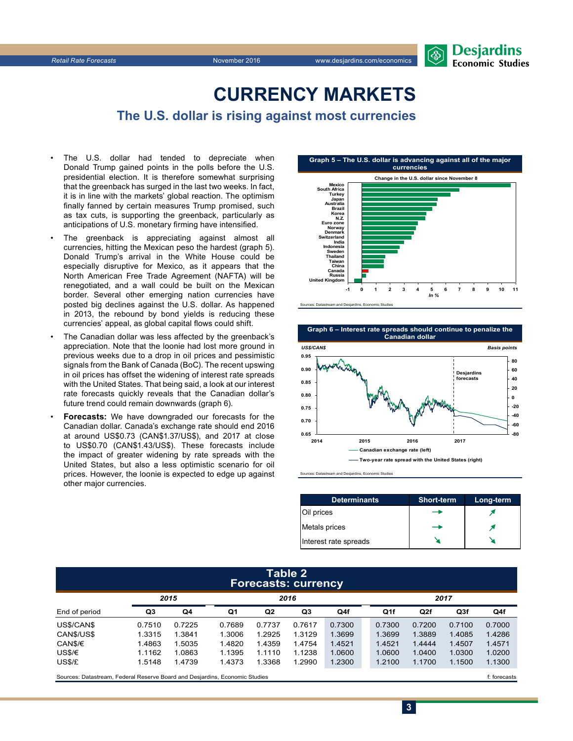

# **CURRENCY MARKETS**

### **The U.S. dollar is rising against most currencies**

- The U.S. dollar had tended to depreciate when Donald Trump gained points in the polls before the U.S. presidential election. It is therefore somewhat surprising that the greenback has surged in the last two weeks. In fact, it is in line with the markets' global reaction. The optimism finally fanned by certain measures Trump promised, such as tax cuts, is supporting the greenback, particularly as anticipations of U.S. monetary firming have intensified.
- The greenback is appreciating against almost all currencies, hitting the Mexican peso the hardest (graph 5). Donald Trump's arrival in the White House could be especially disruptive for Mexico, as it appears that the North American Free Trade Agreement (NAFTA) will be renegotiated, and a wall could be built on the Mexican border. Several other emerging nation currencies have posted big declines against the U.S. dollar. As happened in 2013, the rebound by bond yields is reducing these currencies' appeal, as global capital flows could shift.
- The Canadian dollar was less affected by the greenback's appreciation. Note that the loonie had lost more ground in previous weeks due to a drop in oil prices and pessimistic signals from the Bank of Canada (BoC). The recent upswing in oil prices has offset the widening of interest rate spreads with the United States. That being said, a look at our interest rate forecasts quickly reveals that the Canadian dollar's future trend could remain downwards (graph 6).
- **Forecasts:** We have downgraded our forecasts for the Canadian dollar. Canada's exchange rate should end 2016 at around US\$0.73 (CAN\$1.37/US\$), and 2017 at close to US\$0.70 (CAN\$1.43/US\$). These forecasts include the impact of greater widening by rate spreads with the United States, but also a less optimistic scenario for oil prices. However, the loonie is expected to edge up against other major currencies.





Sources: Datastream and Desjardins, Economic Studies

| <b>Determinants</b>   | <b>Short-term</b> | Long-term |
|-----------------------|-------------------|-----------|
| Oil prices            |                   |           |
| Metals prices         | ⊸                 |           |
| Interest rate spreads |                   |           |

#### **Table 2 Forecasts: currency**

|               | 2015   |        | 2016   |        |        |        |  | 2017   |        |        |        |
|---------------|--------|--------|--------|--------|--------|--------|--|--------|--------|--------|--------|
| End of period | Q3     | Q4     | Q1     | Q2     | Q3     | Q4f    |  | Q1f    | Q2f    | Q3f    | Q4f    |
| US\$/CAN\$    | 0.7510 | 0.7225 | 0.7689 | 0.7737 | 0.7617 | 0.7300 |  | 0.7300 | 0.7200 | 0.7100 | 0.7000 |
| CAN\$/US\$    | 1.3315 | 1.3841 | 1.3006 | 1.2925 | 1.3129 | 1.3699 |  | 1.3699 | 1.3889 | 1.4085 | 1.4286 |
| CAN\$/€       | 1.4863 | .5035  | 1.4820 | 1.4359 | 1.4754 | 1.4521 |  | 1.4521 | 1.4444 | 1.4507 | 1.4571 |
| USS/E         | 1.1162 | 1.0863 | 1.1395 | 1.1110 | 1.1238 | 1.0600 |  | 1.0600 | 1.0400 | 1.0300 | 1.0200 |
| US\$/£        | 1.5148 | 1.4739 | 1.4373 | 1.3368 | 1.2990 | 1.2300 |  | 1.2100 | 1.1700 | 1.1500 | 1.1300 |
| $\sim$        |        |        |        |        |        |        |  |        |        |        | $ -$   |

Sources: Datastream, Federal Reserve Board and Desjardins, Economic Studies files for example of the studies files forecasts files forecasts files for example and the studies of the studies of the studies of the studies of

**3**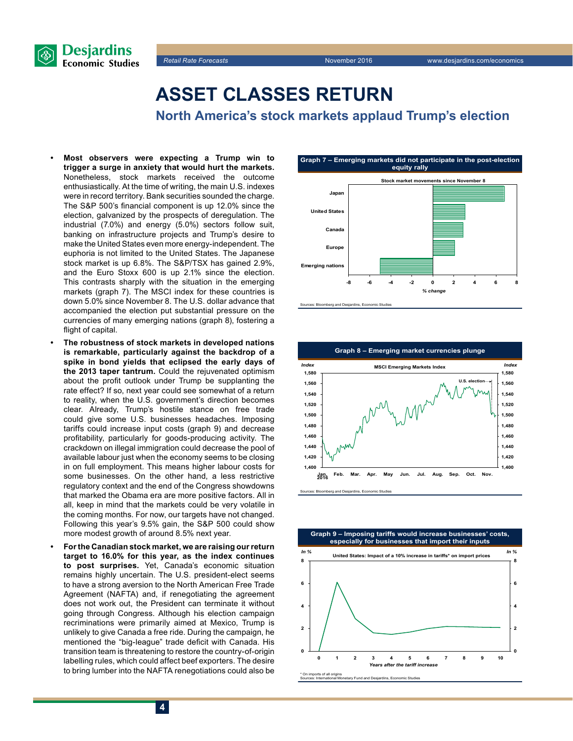

### **ASSET CLASSES RETURN**

**North America's stock markets applaud Trump's election**

- **• Most observers were expecting a Trump win to trigger a surge in anxiety that would hurt the markets.**  Nonetheless, stock markets received the outcome enthusiastically. At the time of writing, the main U.S. indexes were in record territory. Bank securities sounded the charge. The S&P 500's financial component is up 12.0% since the election, galvanized by the prospects of deregulation. The industrial (7.0%) and energy (5.0%) sectors follow suit, banking on infrastructure projects and Trump's desire to make the United States even more energy-independent. The euphoria is not limited to the United States. The Japanese stock market is up 6.8%. The S&P/TSX has gained 2.9%, and the Euro Stoxx 600 is up 2.1% since the election. This contrasts sharply with the situation in the emerging markets (graph 7). The MSCI index for these countries is down 5.0% since November 8. The U.S. dollar advance that accompanied the election put substantial pressure on the currencies of many emerging nations (graph 8), fostering a flight of capital.
- **• The robustness of stock markets in developed nations is remarkable, particularly against the backdrop of a spike in bond yields that eclipsed the early days of the 2013 taper tantrum.** Could the rejuvenated optimism about the profit outlook under Trump be supplanting the rate effect? If so, next year could see somewhat of a return to reality, when the U.S. government's direction becomes clear. Already, Trump's hostile stance on free trade could give some U.S. businesses headaches. Imposing tariffs could increase input costs (graph 9) and decrease profitability, particularly for goods-producing activity. The crackdown on illegal immigration could decrease the pool of available labour just when the economy seems to be closing in on full employment. This means higher labour costs for some businesses. On the other hand, a less restrictive regulatory context and the end of the Congress showdowns that marked the Obama era are more positive factors. All in all, keep in mind that the markets could be very volatile in the coming months. For now, our targets have not changed. Following this year's 9.5% gain, the S&P 500 could show more modest growth of around 8.5% next year.
- **• For the Canadian stock market, we are raising our return target to 16.0% for this year, as the index continues to post surprises.** Yet, Canada's economic situation remains highly uncertain. The U.S. president-elect seems to have a strong aversion to the North American Free Trade Agreement (NAFTA) and, if renegotiating the agreement does not work out, the President can terminate it without going through Congress. Although his election campaign recriminations were primarily aimed at Mexico, Trump is unlikely to give Canada a free ride. During the campaign, he mentioned the "big-league" trade deficit with Canada. His transition team is threatening to restore the country-of-origin labelling rules, which could affect beef exporters. The desire to bring lumber into the NAFTA renegotiations could also be







erg and Desjardins, Economic Studie